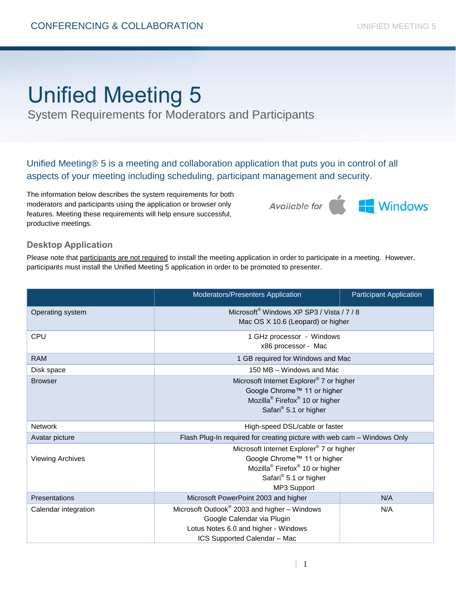## Unified Meeting 5

System Requirements for Moderators and Participants

Unified Meeting® 5 is a meeting and collaboration application that puts you in control of all aspects of your meeting including scheduling, participant management and security.

The information below describes the system requirements for both moderators and participants using the application or browser only features. Meeting these requirements will help ensure successful, productive meetings.

Windows<sup>®</sup> Available for

## **Desktop Application**

Please note that participants are not required to install the meeting application in order to participate in a meeting. However, participants must install the Unified Meeting 5 application in order to be promoted to presenter.

|                         | Moderators/Presenters Application                                                                                                                                                     | <b>Participant Application</b> |
|-------------------------|---------------------------------------------------------------------------------------------------------------------------------------------------------------------------------------|--------------------------------|
| Operating system        | Microsoft <sup>®</sup> Windows XP SP3 / Vista / 7 / 8<br>Mac OS X 10.6 (Leopard) or higher                                                                                            |                                |
| <b>CPU</b>              | 1 GHz processor - Windows<br>x86 processor - Mac                                                                                                                                      |                                |
| <b>RAM</b>              | 1 GB required for Windows and Mac                                                                                                                                                     |                                |
| Disk space              | 150 MB - Windows and Mac                                                                                                                                                              |                                |
| <b>Browser</b>          | Microsoft Internet Explorer® 7 or higher<br>Google Chrome™ 11 or higher<br>Mozilla <sup>®</sup> Firefox <sup>®</sup> 10 or higher<br>Safari <sup>®</sup> 5.1 or higher                |                                |
| <b>Network</b>          | High-speed DSL/cable or faster                                                                                                                                                        |                                |
| Avatar picture          | Flash Plug-In required for creating picture with web cam - Windows Only                                                                                                               |                                |
| <b>Viewing Archives</b> | Microsoft Internet Explorer <sup>®</sup> 7 or higher<br>Google Chrome™ 11 or higher<br>Mozilla <sup>®</sup> Firefox <sup>®</sup> 10 or higher<br>Safari® 5.1 or higher<br>MP3 Support |                                |
| Presentations           | Microsoft PowerPoint 2003 and higher                                                                                                                                                  | N/A                            |
| Calendar integration    | Microsoft Outlook® 2003 and higher – Windows<br>Google Calendar via Plugin<br>Lotus Notes 6.0 and higher - Windows<br>ICS Supported Calendar - Mac                                    | N/A                            |